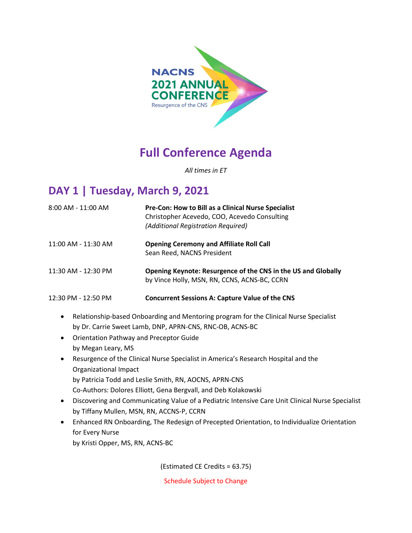

# **Full Conference Agenda**

*All times in ET*

# **DAY 1 | Tuesday, March 9, 2021**

| 8:00 AM - 11:00 AM  | Pre-Con: How to Bill as a Clinical Nurse Specialist<br>Christopher Acevedo, COO, Acevedo Consulting<br>(Additional Registration Required) |
|---------------------|-------------------------------------------------------------------------------------------------------------------------------------------|
| 11:00 AM - 11:30 AM | <b>Opening Ceremony and Affiliate Roll Call</b><br>Sean Reed, NACNS President                                                             |
| 11:30 AM - 12:30 PM | Opening Keynote: Resurgence of the CNS in the US and Globally<br>by Vince Holly, MSN, RN, CCNS, ACNS-BC, CCRN                             |
| 12:30 PM - 12:50 PM | <b>Concurrent Sessions A: Capture Value of the CNS</b>                                                                                    |

- Relationship-based Onboarding and Mentoring program for the Clinical Nurse Specialist by Dr. Carrie Sweet Lamb, DNP, APRN-CNS, RNC-OB, ACNS-BC
- Orientation Pathway and Preceptor Guide by Megan Leary, MS
- Resurgence of the Clinical Nurse Specialist in America's Research Hospital and the Organizational Impact by Patricia Todd and Leslie Smith, RN, AOCNS, APRN-CNS Co-Authors: Dolores Elliott, Gena Bergvall, and Deb Kolakowski
- Discovering and Communicating Value of a Pediatric Intensive Care Unit Clinical Nurse Specialist by Tiffany Mullen, MSN, RN, ACCNS-P, CCRN
- Enhanced RN Onboarding, The Redesign of Precepted Orientation, to Individualize Orientation for Every Nurse by Kristi Opper, MS, RN, ACNS-BC

(Estimated CE Credits = 63.75)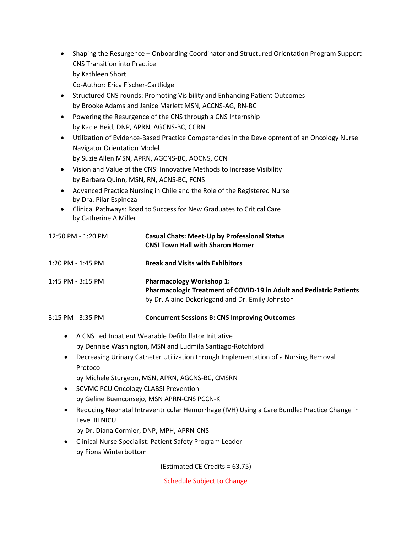- Shaping the Resurgence Onboarding Coordinator and Structured Orientation Program Support CNS Transition into Practice by Kathleen Short Co-Author: Erica Fischer-Cartlidge
- Structured CNS rounds: Promoting Visibility and Enhancing Patient Outcomes by Brooke Adams and Janice Marlett MSN, ACCNS-AG, RN-BC
- Powering the Resurgence of the CNS through a CNS Internship by Kacie Heid, DNP, APRN, AGCNS-BC, CCRN
- Utilization of Evidence-Based Practice Competencies in the Development of an Oncology Nurse Navigator Orientation Model by Suzie Allen MSN, APRN, AGCNS-BC, AOCNS, OCN
- Vision and Value of the CNS: Innovative Methods to Increase Visibility by Barbara Quinn, MSN, RN, ACNS-BC, FCNS
- Advanced Practice Nursing in Chile and the Role of the Registered Nurse by Dra. Pilar Espinoza
- Clinical Pathways: Road to Success for New Graduates to Critical Care by Catherine A Miller

| 12:50 PM - 1:20 PM    | <b>Casual Chats: Meet-Up by Professional Status</b><br><b>CNSI Town Hall with Sharon Horner</b>                                                                   |
|-----------------------|-------------------------------------------------------------------------------------------------------------------------------------------------------------------|
| 1:20 PM - 1:45 PM     | <b>Break and Visits with Exhibitors</b>                                                                                                                           |
| $1:45$ PM - $3:15$ PM | <b>Pharmacology Workshop 1:</b><br><b>Pharmacologic Treatment of COVID-19 in Adult and Pediatric Patients</b><br>by Dr. Alaine Dekerlegand and Dr. Emily Johnston |

- 3:15 PM 3:35 PM **Concurrent Sessions B: CNS Improving Outcomes**
	- A CNS Led Inpatient Wearable Defibrillator Initiative by Dennise Washington, MSN and Ludmila Santiago-Rotchford
	- Decreasing Urinary Catheter Utilization through Implementation of a Nursing Removal Protocol
		- by Michele Sturgeon, MSN, APRN, AGCNS-BC, CMSRN
	- SCVMC PCU Oncology CLABSI Prevention by Geline Buenconsejo, MSN APRN-CNS PCCN-K
	- Reducing Neonatal Intraventricular Hemorrhage (IVH) Using a Care Bundle: Practice Change in Level III NICU
		- by Dr. Diana Cormier, DNP, MPH, APRN-CNS
	- Clinical Nurse Specialist: Patient Safety Program Leader by Fiona Winterbottom

(Estimated CE Credits = 63.75)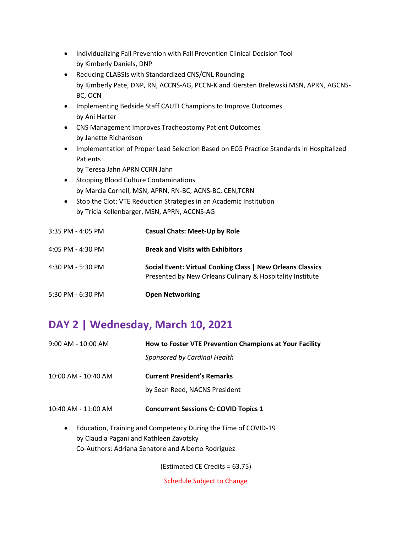- Individualizing Fall Prevention with Fall Prevention Clinical Decision Tool by Kimberly Daniels, DNP
- Reducing CLABSIs with Standardized CNS/CNL Rounding by Kimberly Pate, DNP, RN, ACCNS-AG, PCCN-K and Kiersten Brelewski MSN, APRN, AGCNS-BC, OCN
- Implementing Bedside Staff CAUTI Champions to Improve Outcomes by Ani Harter
- CNS Management Improves Tracheostomy Patient Outcomes by Janette Richardson
- Implementation of Proper Lead Selection Based on ECG Practice Standards in Hospitalized Patients
	- by Teresa Jahn APRN CCRN Jahn
- Stopping Blood Culture Contaminations by Marcia Cornell, MSN, APRN, RN-BC, ACNS-BC, CEN,TCRN
- Stop the Clot: VTE Reduction Strategies in an Academic Institution by Tricia Kellenbarger, MSN, APRN, ACCNS-AG

| $3:35$ PM - 4:05 PM | <b>Casual Chats: Meet-Up by Role</b>                                                                                    |
|---------------------|-------------------------------------------------------------------------------------------------------------------------|
| 4:05 PM - 4:30 PM   | <b>Break and Visits with Exhibitors</b>                                                                                 |
| 4:30 PM - 5:30 PM   | Social Event: Virtual Cooking Class   New Orleans Classics<br>Presented by New Orleans Culinary & Hospitality Institute |
| 5:30 PM - 6:30 PM   | <b>Open Networking</b>                                                                                                  |

# **DAY 2 | Wednesday, March 10, 2021**

| $9:00$ AM - 10:00 AM | How to Foster VTE Prevention Champions at Your Facility |
|----------------------|---------------------------------------------------------|
|                      | Sponsored by Cardinal Health                            |
| 10:00 AM - 10:40 AM  | <b>Current President's Remarks</b>                      |
|                      | by Sean Reed, NACNS President                           |
| 10:40 AM - 11:00 AM  | <b>Concurrent Sessions C: COVID Topics 1</b>            |

• Education, Training and Competency During the Time of COVID-19 by Claudia Pagani and Kathleen Zavotsky Co-Authors: Adriana Senatore and Alberto Rodriguez

(Estimated CE Credits = 63.75)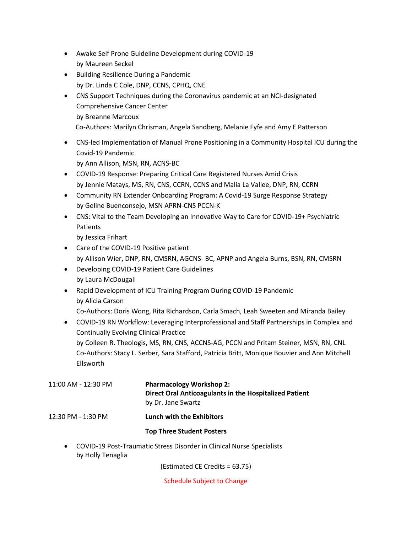- Awake Self Prone Guideline Development during COVID-19 by Maureen Seckel
- Building Resilience During a Pandemic by Dr. Linda C Cole, DNP, CCNS, CPHQ, CNE
- CNS Support Techniques during the Coronavirus pandemic at an NCI-designated Comprehensive Cancer Center by Breanne Marcoux Co-Authors: Marilyn Chrisman, Angela Sandberg, Melanie Fyfe and Amy E Patterson
- CNS-led Implementation of Manual Prone Positioning in a Community Hospital ICU during the Covid-19 Pandemic

by Ann Allison, MSN, RN, ACNS-BC

- COVID-19 Response: Preparing Critical Care Registered Nurses Amid Crisis by Jennie Matays, MS, RN, CNS, CCRN, CCNS and Malia La Vallee, DNP, RN, CCRN
- Community RN Extender Onboarding Program: A Covid-19 Surge Response Strategy by Geline Buenconsejo, MSN APRN-CNS PCCN-K
- CNS: Vital to the Team Developing an Innovative Way to Care for COVID-19+ Psychiatric Patients

by Jessica Frihart

- Care of the COVID-19 Positive patient by Allison Wier, DNP, RN, CMSRN, AGCNS- BC, APNP and Angela Burns, BSN, RN, CMSRN
- Developing COVID-19 Patient Care Guidelines by Laura McDougall
- Rapid Development of ICU Training Program During COVID-19 Pandemic by Alicia Carson
	- Co-Authors: Doris Wong, Rita Richardson, Carla Smach, Leah Sweeten and Miranda Bailey
- COVID-19 RN Workflow: Leveraging Interprofessional and Staff Partnerships in Complex and Continually Evolving Clinical Practice by Colleen R. Theologis, MS, RN, CNS, ACCNS-AG, PCCN and Pritam Steiner, MSN, RN, CNL Co-Authors: Stacy L. Serber, Sara Stafford, Patricia Britt, Monique Bouvier and Ann Mitchell

Ellsworth

- 11:00 AM 12:30 PM **Pharmacology Workshop 2: Direct Oral Anticoagulants in the Hospitalized Patient** by Dr. Jane Swartz 12:30 PM - 1:30 PM **Lunch with the Exhibitors Top Three Student Posters** 
	- COVID-19 Post-Traumatic Stress Disorder in Clinical Nurse Specialists by Holly Tenaglia

(Estimated CE Credits = 63.75)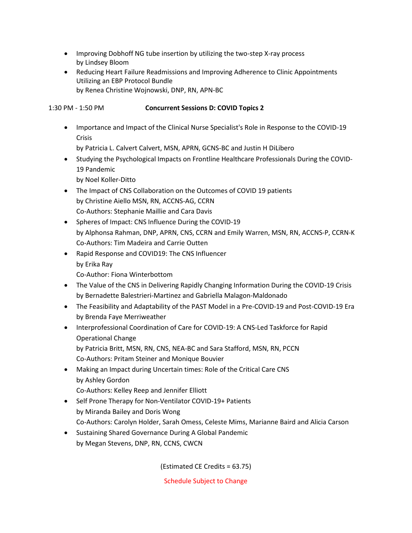- Improving Dobhoff NG tube insertion by utilizing the two-step X-ray process by Lindsey Bloom
- Reducing Heart Failure Readmissions and Improving Adherence to Clinic Appointments Utilizing an EBP Protocol Bundle by Renea Christine Wojnowski, DNP, RN, APN-BC

1:30 PM - 1:50 PM **Concurrent Sessions D: COVID Topics 2**

• Importance and Impact of the Clinical Nurse Specialist's Role in Response to the COVID-19 Crisis

by Patricia L. Calvert Calvert, MSN, APRN, GCNS-BC and Justin H DiLibero

• Studying the Psychological Impacts on Frontline Healthcare Professionals During the COVID-19 Pandemic

by Noel Koller-Ditto

- The Impact of CNS Collaboration on the Outcomes of COVID 19 patients by Christine Aiello MSN, RN, ACCNS-AG, CCRN Co-Authors: Stephanie Maillie and Cara Davis
- Spheres of Impact: CNS Influence During the COVID-19 by Alphonsa Rahman, DNP, APRN, CNS, CCRN and Emily Warren, MSN, RN, ACCNS-P, CCRN-K Co-Authors: Tim Madeira and Carrie Outten
- Rapid Response and COVID19: The CNS Influencer by Erika Ray

Co-Author: Fiona Winterbottom

- The Value of the CNS in Delivering Rapidly Changing Information During the COVID-19 Crisis by Bernadette Balestrieri-Martinez and Gabriella Malagon-Maldonado
- The Feasibility and Adaptability of the PAST Model in a Pre-COVID-19 and Post-COVID-19 Era by Brenda Faye Merriweather
- Interprofessional Coordination of Care for COVID-19: A CNS-Led Taskforce for Rapid Operational Change
	- by Patricia Britt, MSN, RN, CNS, NEA-BC and Sara Stafford, MSN, RN, PCCN Co-Authors: Pritam Steiner and Monique Bouvier
- Making an Impact during Uncertain times: Role of the Critical Care CNS by Ashley Gordon

Co-Authors: Kelley Reep and Jennifer Elliott

- Self Prone Therapy for Non-Ventilator COVID-19+ Patients by Miranda Bailey and Doris Wong Co-Authors: Carolyn Holder, Sarah Omess, Celeste Mims, Marianne Baird and Alicia Carson
- Sustaining Shared Governance During A Global Pandemic by Megan Stevens, DNP, RN, CCNS, CWCN

(Estimated CE Credits = 63.75)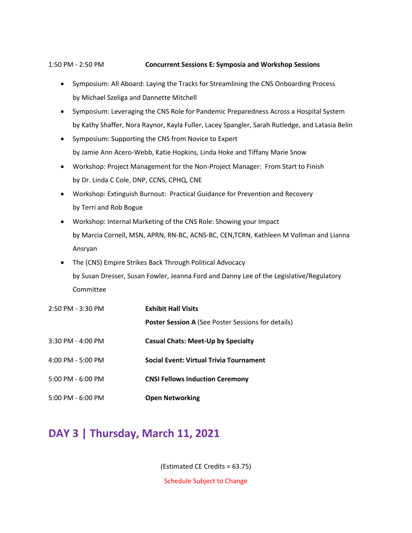#### 1:50 PM - 2:50 PM **Concurrent Sessions E: Symposia and Workshop Sessions**

- Symposium: All Aboard: Laying the Tracks for Streamlining the CNS Onboarding Process by Michael Szeliga and Dannette Mitchell
- Symposium: Leveraging the CNS Role for Pandemic Preparedness Across a Hospital System by Kathy Shaffer, Nora Raynor, Kayla Fuller, Lacey Spangler, Sarah Rutledge, and Latasia Belin
- Symposium: Supporting the CNS from Novice to Expert by Jamie Ann Acero-Webb, Katie Hopkins, Linda Hoke and Tiffany Marie Snow
- Workshop: Project Management for the Non-Project Manager: From Start to Finish by Dr. Linda C Cole, DNP, CCNS, CPHQ, CNE
- Workshop: Extinguish Burnout: Practical Guidance for Prevention and Recovery by Terri and Rob Bogue
- Workshop: Internal Marketing of the CNS Role: Showing your Impact by Marcia Cornell, MSN, APRN, RN-BC, ACNS-BC, CEN,TCRN, Kathleen M Vollman and Lianna Ansryan
- The (CNS) Empire Strikes Back Through Political Advocacy by Susan Dresser, Susan Fowler, Jeanna Ford and Danny Lee of the Legislative/Regulatory Committee

| 2:50 PM - 3:30 PM | <b>Exhibit Hall Visits</b>                                |
|-------------------|-----------------------------------------------------------|
|                   | <b>Poster Session A (See Poster Sessions for details)</b> |
| 3:30 PM - 4:00 PM | <b>Casual Chats: Meet-Up by Specialty</b>                 |
| 4:00 PM - 5:00 PM | <b>Social Event: Virtual Trivia Tournament</b>            |
| 5:00 PM - 6:00 PM | <b>CNSI Fellows Induction Ceremony</b>                    |
| 5:00 PM - 6:00 PM | <b>Open Networking</b>                                    |

### **DAY 3 | Thursday, March 11, 2021**

(Estimated CE Credits = 63.75)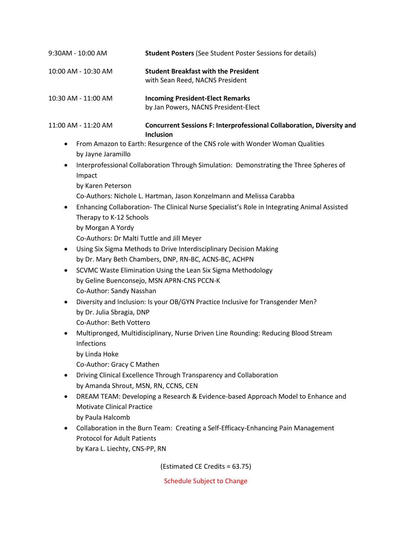| 10:00 AM - 10:30 AM                                                                                                                                                                                                                                                                                                                                                                                                                                                                                                           | <b>Student Breakfast with the President</b><br>with Sean Reed, NACNS President                                                                                                                                                                                                                                                                                                                                                                                                                                                                                                                                                                                                                                                                                                                                                                                                                                                                                                                                       |
|-------------------------------------------------------------------------------------------------------------------------------------------------------------------------------------------------------------------------------------------------------------------------------------------------------------------------------------------------------------------------------------------------------------------------------------------------------------------------------------------------------------------------------|----------------------------------------------------------------------------------------------------------------------------------------------------------------------------------------------------------------------------------------------------------------------------------------------------------------------------------------------------------------------------------------------------------------------------------------------------------------------------------------------------------------------------------------------------------------------------------------------------------------------------------------------------------------------------------------------------------------------------------------------------------------------------------------------------------------------------------------------------------------------------------------------------------------------------------------------------------------------------------------------------------------------|
| 10:30 AM - 11:00 AM                                                                                                                                                                                                                                                                                                                                                                                                                                                                                                           | <b>Incoming President-Elect Remarks</b><br>by Jan Powers, NACNS President-Elect                                                                                                                                                                                                                                                                                                                                                                                                                                                                                                                                                                                                                                                                                                                                                                                                                                                                                                                                      |
| 11:00 AM - 11:20 AM                                                                                                                                                                                                                                                                                                                                                                                                                                                                                                           | Concurrent Sessions F: Interprofessional Collaboration, Diversity and<br><b>Inclusion</b>                                                                                                                                                                                                                                                                                                                                                                                                                                                                                                                                                                                                                                                                                                                                                                                                                                                                                                                            |
| ٠<br>by Jayne Jaramillo<br>$\bullet$<br>Impact<br>by Karen Peterson<br>٠<br>Therapy to K-12 Schools<br>by Morgan A Yordy<br>Co-Authors: Dr Malti Tuttle and Jill Meyer<br>٠<br>٠<br>Co-Author: Sandy Nasshan<br>٠<br>by Dr. Julia Sbragia, DNP<br>Co-Author: Beth Vottero<br>٠<br>Infections<br>by Linda Hoke<br>Co-Author: Gracy C Mathen<br>by Amanda Shrout, MSN, RN, CCNS, CEN<br>٠<br><b>Motivate Clinical Practice</b><br>by Paula Halcomb<br>٠<br><b>Protocol for Adult Patients</b><br>by Kara L. Liechty, CNS-PP, RN | From Amazon to Earth: Resurgence of the CNS role with Wonder Woman Qualities<br>Interprofessional Collaboration Through Simulation: Demonstrating the Three Spheres of<br>Co-Authors: Nichole L. Hartman, Jason Konzelmann and Melissa Carabba<br>Enhancing Collaboration- The Clinical Nurse Specialist's Role in Integrating Animal Assisted<br>Using Six Sigma Methods to Drive Interdisciplinary Decision Making<br>by Dr. Mary Beth Chambers, DNP, RN-BC, ACNS-BC, ACHPN<br>SCVMC Waste Elimination Using the Lean Six Sigma Methodology<br>by Geline Buenconsejo, MSN APRN-CNS PCCN-K<br>Diversity and Inclusion: Is your OB/GYN Practice Inclusive for Transgender Men?<br>Multipronged, Multidisciplinary, Nurse Driven Line Rounding: Reducing Blood Stream<br>Driving Clinical Excellence Through Transparency and Collaboration<br>DREAM TEAM: Developing a Research & Evidence-based Approach Model to Enhance and<br>Collaboration in the Burn Team: Creating a Self-Efficacy-Enhancing Pain Management |
|                                                                                                                                                                                                                                                                                                                                                                                                                                                                                                                               | (Estimated CE Credits = 63.75)                                                                                                                                                                                                                                                                                                                                                                                                                                                                                                                                                                                                                                                                                                                                                                                                                                                                                                                                                                                       |
|                                                                                                                                                                                                                                                                                                                                                                                                                                                                                                                               | <b>Schedule Subject to Change</b>                                                                                                                                                                                                                                                                                                                                                                                                                                                                                                                                                                                                                                                                                                                                                                                                                                                                                                                                                                                    |
|                                                                                                                                                                                                                                                                                                                                                                                                                                                                                                                               |                                                                                                                                                                                                                                                                                                                                                                                                                                                                                                                                                                                                                                                                                                                                                                                                                                                                                                                                                                                                                      |

9:30AM - 10:00 AM **Student Posters** (See Student Poster Sessions for details)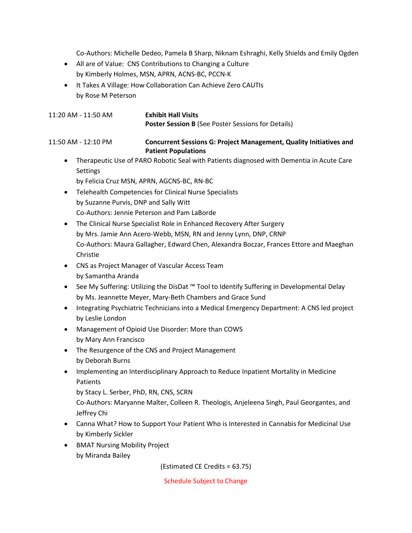Co-Authors: Michelle Dedeo, Pamela B Sharp, Niknam Eshraghi, Kelly Shields and Emily Ogden

- All are of Value: CNS Contributions to Changing a Culture by Kimberly Holmes, MSN, APRN, ACNS-BC, PCCN-K
- It Takes A Village: How Collaboration Can Achieve Zero CAUTIs by Rose M Peterson

11:20 AM - 11:50 AM **Exhibit Hall Visits Poster Session B** (See Poster Sessions for Details)

11:50 AM - 12:10 PM **Concurrent Sessions G: Project Management, Quality Initiatives and Patient Populations**

• Therapeutic Use of PARO Robotic Seal with Patients diagnosed with Dementia in Acute Care **Settings** 

by Felicia Cruz MSN, APRN, AGCNS-BC, RN-BC

- Telehealth Competencies for Clinical Nurse Specialists by Suzanne Purvis, DNP and Sally Witt Co-Authors: Jennie Peterson and Pam LaBorde
- The Clinical Nurse Specialist Role in Enhanced Recovery After Surgery by Mrs. Jamie Ann Acero-Webb, MSN, RN and Jenny Lynn, DNP, CRNP Co-Authors: Maura Gallagher, Edward Chen, Alexandra Boczar, Frances Ettore and Maeghan Christie
- CNS as Project Manager of Vascular Access Team by Samantha Aranda
- See My Suffering: Utilizing the DisDat ™ Tool to Identify Suffering in Developmental Delay by Ms. Jeannette Meyer, Mary-Beth Chambers and Grace Sund
- Integrating Psychiatric Technicians into a Medical Emergency Department: A CNS led project by Leslie London
- Management of Opioid Use Disorder: More than COWS by Mary Ann Francisco
- The Resurgence of the CNS and Project Management by Deborah Burns
- Implementing an Interdisciplinary Approach to Reduce Inpatient Mortality in Medicine Patients

by Stacy L. Serber, PhD, RN, CNS, SCRN

Co-Authors: Maryanne Malter, Colleen R. Theologis, Anjeleena Singh, Paul Georgantes, and Jeffrey Chi

- Canna What? How to Support Your Patient Who is Interested in Cannabis for Medicinal Use by Kimberly Sickler
- BMAT Nursing Mobility Project by Miranda Bailey

(Estimated CE Credits = 63.75)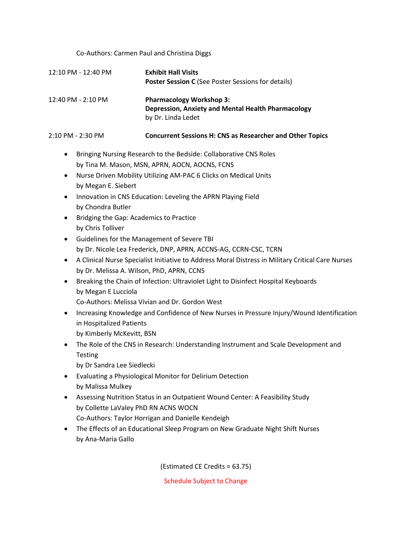Co-Authors: Carmen Paul and Christina Diggs

| 12:10 PM - 12:40 PM | <b>Exhibit Hall Visits</b><br><b>Poster Session C</b> (See Poster Sessions for details)                            |
|---------------------|--------------------------------------------------------------------------------------------------------------------|
| 12:40 PM - 2:10 PM  | <b>Pharmacology Workshop 3:</b><br><b>Depression, Anxiety and Mental Health Pharmacology</b><br>by Dr. Linda Ledet |

#### 2:10 PM - 2:30 PM **Concurrent Sessions H: CNS as Researcher and Other Topics**

- Bringing Nursing Research to the Bedside: Collaborative CNS Roles by Tina M. Mason, MSN, APRN, AOCN, AOCNS, FCNS
- Nurse Driven Mobility Utilizing AM-PAC 6 Clicks on Medical Units by Megan E. Siebert
- Innovation in CNS Education: Leveling the APRN Playing Field by Chondra Butler
- Bridging the Gap: Academics to Practice by Chris Tolliver
- Guidelines for the Management of Severe TBI by Dr. Nicole Lea Frederick, DNP, APRN, ACCNS-AG, CCRN-CSC, TCRN
- A Clinical Nurse Specialist Initiative to Address Moral Distress in Military Critical Care Nurses by Dr. Melissa A. Wilson, PhD, APRN, CCNS
- Breaking the Chain of Infection: Ultraviolet Light to Disinfect Hospital Keyboards by Megan E Lucciola
	- Co-Authors: Melissa Vivian and Dr. Gordon West
- Increasing Knowledge and Confidence of New Nurses in Pressure Injury/Wound Identification in Hospitalized Patients by Kimberly McKevitt, BSN
- The Role of the CNS in Research: Understanding Instrument and Scale Development and **Testing**

by Dr Sandra Lee Siedlecki

- Evaluating a Physiological Monitor for Delirium Detection by Malissa Mulkey
- Assessing Nutrition Status in an Outpatient Wound Center: A Feasibility Study by Collette LaValey PhD RN ACNS WOCN Co-Authors: Taylor Horrigan and Danielle Kendeigh
- The Effects of an Educational Sleep Program on New Graduate Night Shift Nurses by Ana-Maria Gallo

(Estimated CE Credits = 63.75)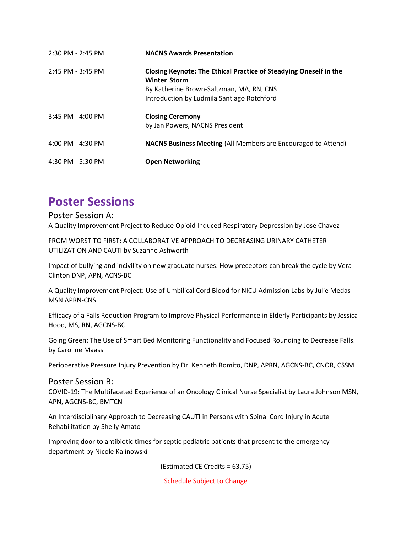| 2:30 PM - 2:45 PM     | <b>NACNS Awards Presentation</b>                                                         |
|-----------------------|------------------------------------------------------------------------------------------|
| 2:45 PM - 3:45 PM     | Closing Keynote: The Ethical Practice of Steadying Oneself in the<br><b>Winter Storm</b> |
|                       | By Katherine Brown-Saltzman, MA, RN, CNS<br>Introduction by Ludmila Santiago Rotchford   |
| $3:45$ PM - $4:00$ PM | <b>Closing Ceremony</b><br>by Jan Powers, NACNS President                                |
| 4:00 PM - 4:30 PM     | <b>NACNS Business Meeting (All Members are Encouraged to Attend)</b>                     |
| 4:30 PM - 5:30 PM     | <b>Open Networking</b>                                                                   |

# **Poster Sessions**

### Poster Session A:

A Quality Improvement Project to Reduce Opioid Induced Respiratory Depression by Jose Chavez

FROM WORST TO FIRST: A COLLABORATIVE APPROACH TO DECREASING URINARY CATHETER UTILIZATION AND CAUTI by Suzanne Ashworth

Impact of bullying and incivility on new graduate nurses: How preceptors can break the cycle by Vera Clinton DNP, APN, ACNS-BC

A Quality Improvement Project: Use of Umbilical Cord Blood for NICU Admission Labs by Julie Medas MSN APRN-CNS

Efficacy of a Falls Reduction Program to Improve Physical Performance in Elderly Participants by Jessica Hood, MS, RN, AGCNS-BC

Going Green: The Use of Smart Bed Monitoring Functionality and Focused Rounding to Decrease Falls. by Caroline Maass

Perioperative Pressure Injury Prevention by Dr. Kenneth Romito, DNP, APRN, AGCNS-BC, CNOR, CSSM

#### Poster Session B:

COVID-19: The Multifaceted Experience of an Oncology Clinical Nurse Specialist by Laura Johnson MSN, APN, AGCNS-BC, BMTCN

An Interdisciplinary Approach to Decreasing CAUTI in Persons with Spinal Cord Injury in Acute Rehabilitation by Shelly Amato

Improving door to antibiotic times for septic pediatric patients that present to the emergency department by Nicole Kalinowski

(Estimated CE Credits = 63.75)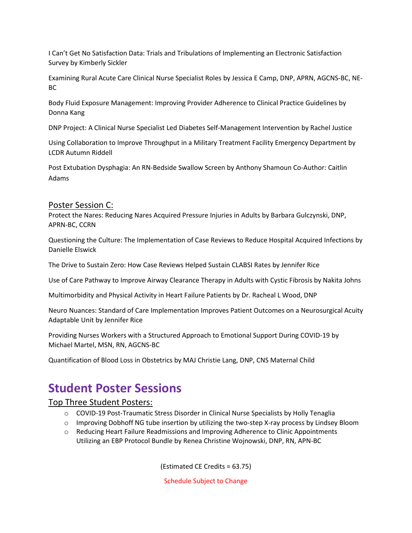I Can't Get No Satisfaction Data: Trials and Tribulations of Implementing an Electronic Satisfaction Survey by Kimberly Sickler

Examining Rural Acute Care Clinical Nurse Specialist Roles by Jessica E Camp, DNP, APRN, AGCNS-BC, NE-BC

Body Fluid Exposure Management: Improving Provider Adherence to Clinical Practice Guidelines by Donna Kang

DNP Project: A Clinical Nurse Specialist Led Diabetes Self-Management Intervention by Rachel Justice

Using Collaboration to Improve Throughput in a Military Treatment Facility Emergency Department by LCDR Autumn Riddell

Post Extubation Dysphagia: An RN-Bedside Swallow Screen by Anthony Shamoun Co-Author: Caitlin Adams

### Poster Session C:

Protect the Nares: Reducing Nares Acquired Pressure Injuries in Adults by Barbara Gulczynski, DNP, APRN-BC, CCRN

Questioning the Culture: The Implementation of Case Reviews to Reduce Hospital Acquired Infections by Danielle Elswick

The Drive to Sustain Zero: How Case Reviews Helped Sustain CLABSI Rates by Jennifer Rice

Use of Care Pathway to Improve Airway Clearance Therapy in Adults with Cystic Fibrosis by Nakita Johns

Multimorbidity and Physical Activity in Heart Failure Patients by Dr. Racheal L Wood, DNP

Neuro Nuances: Standard of Care Implementation Improves Patient Outcomes on a Neurosurgical Acuity Adaptable Unit by Jennifer Rice

Providing Nurses Workers with a Structured Approach to Emotional Support During COVID-19 by Michael Martel, MSN, RN, AGCNS-BC

Quantification of Blood Loss in Obstetrics by MAJ Christie Lang, DNP, CNS Maternal Child

# **Student Poster Sessions**

### Top Three Student Posters:

- o COVID-19 Post-Traumatic Stress Disorder in Clinical Nurse Specialists by Holly Tenaglia
- $\circ$  Improving Dobhoff NG tube insertion by utilizing the two-step X-ray process by Lindsey Bloom
- o Reducing Heart Failure Readmissions and Improving Adherence to Clinic Appointments Utilizing an EBP Protocol Bundle by Renea Christine Wojnowski, DNP, RN, APN-BC

(Estimated CE Credits = 63.75)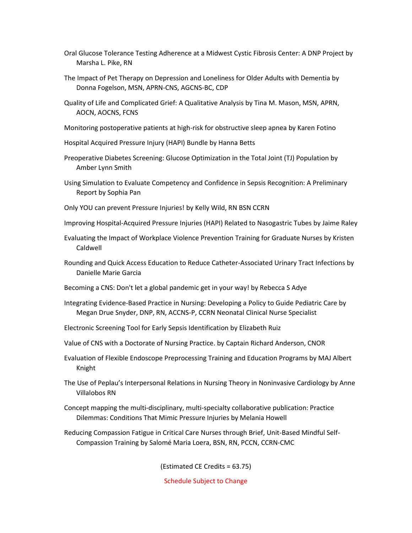- Oral Glucose Tolerance Testing Adherence at a Midwest Cystic Fibrosis Center: A DNP Project by Marsha L. Pike, RN
- The Impact of Pet Therapy on Depression and Loneliness for Older Adults with Dementia by Donna Fogelson, MSN, APRN-CNS, AGCNS-BC, CDP
- Quality of Life and Complicated Grief: A Qualitative Analysis by Tina M. Mason, MSN, APRN, AOCN, AOCNS, FCNS
- Monitoring postoperative patients at high-risk for obstructive sleep apnea by Karen Fotino
- Hospital Acquired Pressure Injury (HAPI) Bundle by Hanna Betts
- Preoperative Diabetes Screening: Glucose Optimization in the Total Joint (TJ) Population by Amber Lynn Smith
- Using Simulation to Evaluate Competency and Confidence in Sepsis Recognition: A Preliminary Report by Sophia Pan
- Only YOU can prevent Pressure Injuries! by Kelly Wild, RN BSN CCRN
- Improving Hospital-Acquired Pressure Injuries (HAPI) Related to Nasogastric Tubes by Jaime Raley
- Evaluating the Impact of Workplace Violence Prevention Training for Graduate Nurses by Kristen Caldwell
- Rounding and Quick Access Education to Reduce Catheter-Associated Urinary Tract Infections by Danielle Marie Garcia
- Becoming a CNS: Don't let a global pandemic get in your way! by Rebecca S Adye
- Integrating Evidence-Based Practice in Nursing: Developing a Policy to Guide Pediatric Care by Megan Drue Snyder, DNP, RN, ACCNS-P, CCRN Neonatal Clinical Nurse Specialist
- Electronic Screening Tool for Early Sepsis Identification by Elizabeth Ruiz
- Value of CNS with a Doctorate of Nursing Practice. by Captain Richard Anderson, CNOR
- Evaluation of Flexible Endoscope Preprocessing Training and Education Programs by MAJ Albert Knight
- The Use of Peplau's Interpersonal Relations in Nursing Theory in Noninvasive Cardiology by Anne Villalobos RN
- Concept mapping the multi-disciplinary, multi-specialty collaborative publication: Practice Dilemmas: Conditions That Mimic Pressure Injuries by Melania Howell
- Reducing Compassion Fatigue in Critical Care Nurses through Brief, Unit-Based Mindful Self-Compassion Training by Salomé Maria Loera, BSN, RN, PCCN, CCRN-CMC

(Estimated CE Credits = 63.75)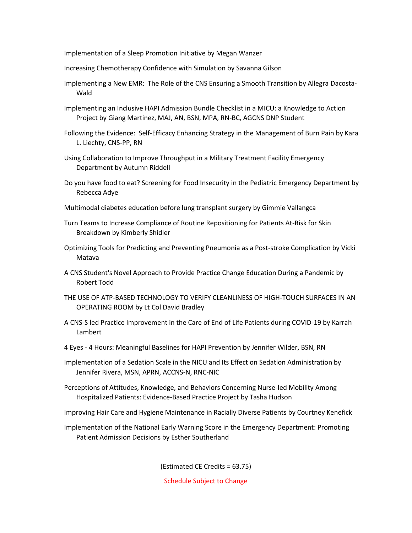Implementation of a Sleep Promotion Initiative by Megan Wanzer

Increasing Chemotherapy Confidence with Simulation by Savanna Gilson

- Implementing a New EMR: The Role of the CNS Ensuring a Smooth Transition by Allegra Dacosta-Wald
- Implementing an Inclusive HAPI Admission Bundle Checklist in a MICU: a Knowledge to Action Project by Giang Martinez, MAJ, AN, BSN, MPA, RN-BC, AGCNS DNP Student
- Following the Evidence: Self-Efficacy Enhancing Strategy in the Management of Burn Pain by Kara L. Liechty, CNS-PP, RN
- Using Collaboration to Improve Throughput in a Military Treatment Facility Emergency Department by Autumn Riddell
- Do you have food to eat? Screening for Food Insecurity in the Pediatric Emergency Department by Rebecca Adye
- Multimodal diabetes education before lung transplant surgery by Gimmie Vallangca
- Turn Teams to Increase Compliance of Routine Repositioning for Patients At-Risk for Skin Breakdown by Kimberly Shidler
- Optimizing Tools for Predicting and Preventing Pneumonia as a Post-stroke Complication by Vicki Matava
- A CNS Student's Novel Approach to Provide Practice Change Education During a Pandemic by Robert Todd
- THE USE OF ATP-BASED TECHNOLOGY TO VERIFY CLEANLINESS OF HIGH-TOUCH SURFACES IN AN OPERATING ROOM by Lt Col David Bradley
- A CNS-S led Practice Improvement in the Care of End of Life Patients during COVID-19 by Karrah Lambert
- 4 Eyes 4 Hours: Meaningful Baselines for HAPI Prevention by Jennifer Wilder, BSN, RN
- Implementation of a Sedation Scale in the NICU and Its Effect on Sedation Administration by Jennifer Rivera, MSN, APRN, ACCNS-N, RNC-NIC
- Perceptions of Attitudes, Knowledge, and Behaviors Concerning Nurse-led Mobility Among Hospitalized Patients: Evidence-Based Practice Project by Tasha Hudson

Improving Hair Care and Hygiene Maintenance in Racially Diverse Patients by Courtney Kenefick

Implementation of the National Early Warning Score in the Emergency Department: Promoting Patient Admission Decisions by Esther Southerland

(Estimated CE Credits = 63.75)